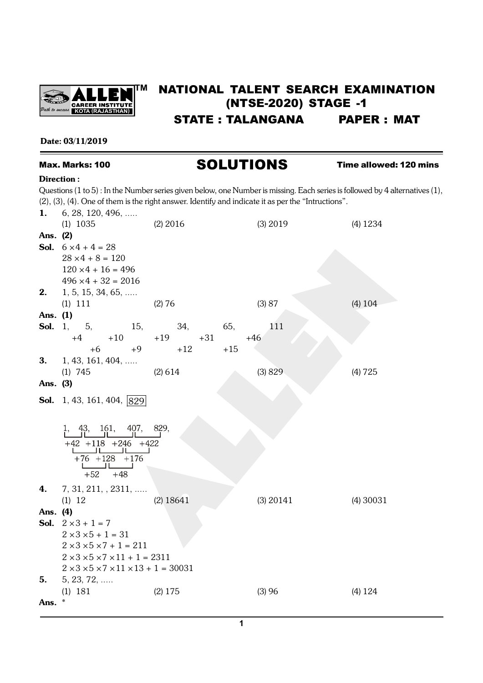

# **TM** NATIONAL TALENT SEARCH EXAMINATION (NTSE-2020) STAGE -1 STATE : TALANGANA PAPER : MAT

# Date: 03/11/2019

# Max. Marks: 100 **SOLUTIONS** Time allowed: 120 mins

#### Direction :

Questions (1 to 5) : In the Number series given below, one Number is missing. Each series is followed by 4 alternatives (1), (2), (3), (4). One of them is the right answer. Identify and indicate it as per the "Intructions".

| 1.       | $6, 28, 120, 496, \ldots$                                                                                         |                |             |             |
|----------|-------------------------------------------------------------------------------------------------------------------|----------------|-------------|-------------|
|          | $(1)$ 1035                                                                                                        | $(2)$ 2016     | (3) 2019    | (4) 1234    |
| Ans. (2) |                                                                                                                   |                |             |             |
|          | <b>Sol.</b> $6 \times 4 + 4 = 28$                                                                                 |                |             |             |
|          | $28 \times 4 + 8 = 120$                                                                                           |                |             |             |
|          | $120 \times 4 + 16 = 496$                                                                                         |                |             |             |
|          | $496 \times 4 + 32 = 2016$                                                                                        |                |             |             |
| 2.       | $1, 5, 15, 34, 65, \ldots$                                                                                        |                |             |             |
|          | $(1)$ 111                                                                                                         | (2) 76         | (3) 87      | (4) 104     |
| Ans. (1) |                                                                                                                   |                |             |             |
|          | <b>Sol.</b> 1, 5,<br>15,                                                                                          | 34,            | 111<br>65,  |             |
|          | $+10$<br>$+4$                                                                                                     | $+19$<br>$+31$ | $+46$       |             |
|          | $+6$<br>$+9$                                                                                                      | $+12$          | $+15$       |             |
| 3.       | 1, 43, 161, 404,                                                                                                  |                |             |             |
|          | $(1)$ 745                                                                                                         | (2) 614        | (3) 829     | (4) 725     |
| Ans. (3) |                                                                                                                   |                |             |             |
|          | <b>Sol.</b> 1, 43, 161, 404, $ 829 $                                                                              |                |             |             |
|          |                                                                                                                   |                |             |             |
|          |                                                                                                                   |                |             |             |
|          | 1, 43, 161, 407, 829,                                                                                             |                |             |             |
|          |                                                                                                                   |                |             |             |
|          | $\begin{array}{c cc} +42 & +118 & +246 & +422 \\ \hline & -1 & -1 & -1 \\ \hline & +76 & +128 & +176 \end{array}$ |                |             |             |
|          | <b>Controller State State</b>                                                                                     |                |             |             |
|          | $+52 +48$                                                                                                         |                |             |             |
| 4.       | $7, 31, 211, 2311, \ldots$                                                                                        |                |             |             |
|          | (1) 12                                                                                                            | $(2)$ 18641    | $(3)$ 20141 | $(4)$ 30031 |
| Ans. (4) |                                                                                                                   |                |             |             |
|          | <b>Sol.</b> $2 \times 3 + 1 = 7$                                                                                  |                |             |             |
|          | $2 \times 3 \times 5 + 1 = 31$                                                                                    |                |             |             |
|          | $2 \times 3 \times 5 \times 7 + 1 = 211$                                                                          |                |             |             |
|          | $2 \times 3 \times 5 \times 7 \times 11 + 1 = 2311$                                                               |                |             |             |
|          | $2 \times 3 \times 5 \times 7 \times 11 \times 13 + 1 = 30031$                                                    |                |             |             |
| 5.       | $5, 23, 72, \ldots$                                                                                               |                |             |             |
|          | $(1)$ 181                                                                                                         | $(2)$ 175      | (3)96       | (4) 124     |
| Ans.     | $\ast$                                                                                                            |                |             |             |
|          |                                                                                                                   |                |             |             |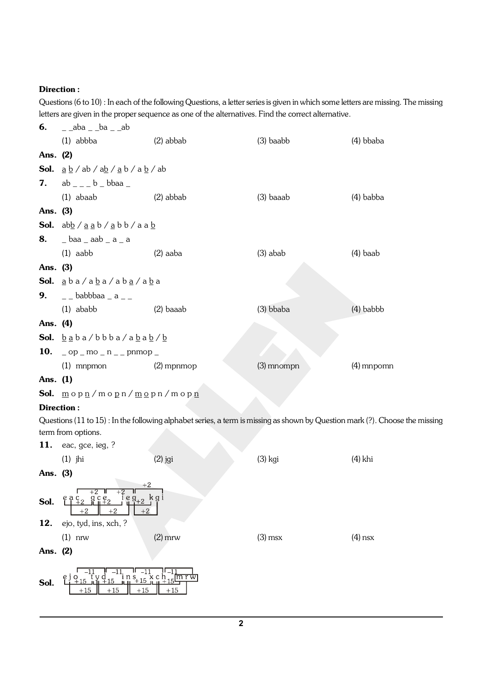Questions (6 to 10) : In each of the following Questions, a letter series is given in which some letters are missing. The missing letters are given in the proper sequence as one of the alternatives. Find the correct alternative.

| 6.       | $\_$ aba $\_$ ba $\_$ ab                                                                                                                                                                                                                                                                                                                                                             |                                                                                                                             |              |              |  |  |
|----------|--------------------------------------------------------------------------------------------------------------------------------------------------------------------------------------------------------------------------------------------------------------------------------------------------------------------------------------------------------------------------------------|-----------------------------------------------------------------------------------------------------------------------------|--------------|--------------|--|--|
|          | $(1)$ abbba                                                                                                                                                                                                                                                                                                                                                                          | $(2)$ abbab                                                                                                                 | $(3)$ baabb  | $(4)$ bbaba  |  |  |
| Ans. (2) |                                                                                                                                                                                                                                                                                                                                                                                      |                                                                                                                             |              |              |  |  |
|          | <b>Sol.</b> $\underline{a} \underline{b}$ / $ab$ / $\underline{ab}$ / $\underline{a} \underline{b}$ / $\underline{a} \underline{b}$ / $ab$                                                                                                                                                                                                                                           |                                                                                                                             |              |              |  |  |
|          | <b>7.</b> $ab_{---}b_{}$                                                                                                                                                                                                                                                                                                                                                             |                                                                                                                             |              |              |  |  |
|          | $(1)$ abaab                                                                                                                                                                                                                                                                                                                                                                          | (2) abbab                                                                                                                   | $(3)$ baaab  | $(4)$ babba  |  |  |
| Ans. (3) |                                                                                                                                                                                                                                                                                                                                                                                      |                                                                                                                             |              |              |  |  |
|          | Sol. $ab\underline{b}/\underline{a} \underline{a} \underline{b}/\underline{a} \underline{b} \underline{b}/\underline{a} \underline{a} \underline{b}$                                                                                                                                                                                                                                 |                                                                                                                             |              |              |  |  |
| 8.       | $\_$ baa $\_$ aab $\_$ a $\_$ a                                                                                                                                                                                                                                                                                                                                                      |                                                                                                                             |              |              |  |  |
|          | $(1)$ aabb                                                                                                                                                                                                                                                                                                                                                                           | $(2)$ aaba                                                                                                                  | $(3)$ abab   | $(4)$ baab   |  |  |
| Ans. (3) |                                                                                                                                                                                                                                                                                                                                                                                      |                                                                                                                             |              |              |  |  |
|          | Sol. aba/aba/aba/aba                                                                                                                                                                                                                                                                                                                                                                 |                                                                                                                             |              |              |  |  |
| 9.       | $\overline{a}$ $\overline{a}$ $\overline{a}$ $\overline{a}$ $\overline{a}$ $\overline{a}$ $\overline{a}$ $\overline{a}$ $\overline{a}$ $\overline{a}$ $\overline{a}$ $\overline{a}$ $\overline{a}$ $\overline{a}$ $\overline{a}$ $\overline{a}$ $\overline{a}$ $\overline{a}$ $\overline{a}$ $\overline{a}$ $\overline{a}$ $\overline{a}$ $\overline{a}$ $\overline{a}$ $\overline{$ |                                                                                                                             |              |              |  |  |
|          | $(1)$ ababb                                                                                                                                                                                                                                                                                                                                                                          | $(2)$ baaab                                                                                                                 | $(3)$ bbaba  | $(4)$ babbb  |  |  |
| Ans. (4) |                                                                                                                                                                                                                                                                                                                                                                                      |                                                                                                                             |              |              |  |  |
|          | <b>Sol.</b> $\underline{b}$ a $b$ a $\angle$ b $b$ b $a$ $\angle$ a $\underline{b}$ a $\underline{b}$ $\angle$ $\underline{b}$                                                                                                                                                                                                                                                       |                                                                                                                             |              |              |  |  |
|          | <b>10.</b> $\log_{10} m - m = \log_{10} m$                                                                                                                                                                                                                                                                                                                                           |                                                                                                                             |              |              |  |  |
|          | $(1)$ mnpmon                                                                                                                                                                                                                                                                                                                                                                         | $(2)$ mpnmop                                                                                                                | $(3)$ mnompn | $(4)$ mnpomn |  |  |
| Ans. (1) |                                                                                                                                                                                                                                                                                                                                                                                      |                                                                                                                             |              |              |  |  |
|          | Sol. mopn/mopn/mopn/mopn                                                                                                                                                                                                                                                                                                                                                             |                                                                                                                             |              |              |  |  |
|          | Direction:                                                                                                                                                                                                                                                                                                                                                                           |                                                                                                                             |              |              |  |  |
|          | term from options.                                                                                                                                                                                                                                                                                                                                                                   | Questions (11 to 15): In the following alphabet series, a term is missing as shown by Question mark (?). Choose the missing |              |              |  |  |
|          | 11. eac, gce, ieg, ?                                                                                                                                                                                                                                                                                                                                                                 |                                                                                                                             |              |              |  |  |
|          | $(1)$ jhi                                                                                                                                                                                                                                                                                                                                                                            | $(2)$ jgi                                                                                                                   | $(3)$ kgi    | (4) khi      |  |  |
| Ans. (3) |                                                                                                                                                                                                                                                                                                                                                                                      |                                                                                                                             |              |              |  |  |
| Sol.     | $+2$<br>$\frac{+2}{9}$ c e <sub>2</sub><br>$\frac{+2}{1}$ e g <sub>+2</sub> k g i                                                                                                                                                                                                                                                                                                    |                                                                                                                             |              |              |  |  |
| 12.      | ejo, tyd, ins, xch, ?                                                                                                                                                                                                                                                                                                                                                                |                                                                                                                             |              |              |  |  |
|          | $(1)$ nrw                                                                                                                                                                                                                                                                                                                                                                            | $(2)$ mrw                                                                                                                   | $(3)$ msx    | $(4)$ nsx    |  |  |
| Ans. (2) |                                                                                                                                                                                                                                                                                                                                                                                      |                                                                                                                             |              |              |  |  |
| Sol.     | $^{a}_{+15}$<br>$+15$<br>$+15$<br>$+15$                                                                                                                                                                                                                                                                                                                                              | $s_{+15}$ x c h 5<br>m r w<br>$+15$                                                                                         |              |              |  |  |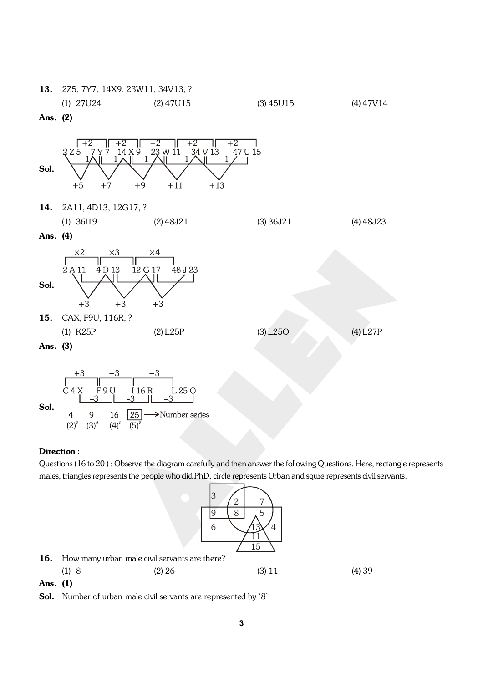

|          | $(1)$ 27U24 | $(2)$ 47U15 | $(3)$ 45U15 | $(4)$ 47V14 |
|----------|-------------|-------------|-------------|-------------|
| Ans. (2) |             |             |             |             |
|          |             |             |             |             |



 $\overline{4}$ 

 $(2)^2$ 

9

 $(3)^2$ 

16

 $(4)^2$ 

 $(5)^2$ 

Questions (16 to 20 ) : Observe the diagram carefully and then answer the following Questions. Here, rectangle represents males, triangles represents the people who did PhD, circle represents Urban and squre represents civil servants.



| <b>16.</b> How many urban male civil servants are there? |          |          |       |
|----------------------------------------------------------|----------|----------|-------|
| (1)8                                                     | $(2)$ 26 | $(3)$ 11 | (4)39 |

 $\rightarrow$ Number series

Ans. (1)

Sol. Number of urban male civil servants are represented by '8'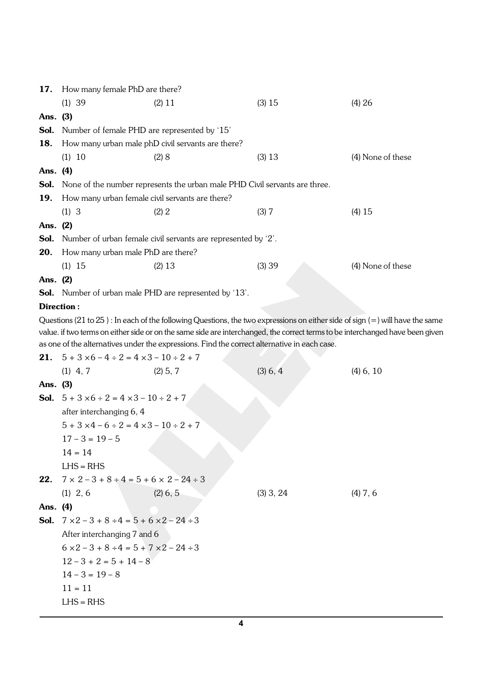|          | 17. How many female PhD are there?                                  |                                                                                              |             |                                                                                                                                                                                                                                                               |  |  |  |
|----------|---------------------------------------------------------------------|----------------------------------------------------------------------------------------------|-------------|---------------------------------------------------------------------------------------------------------------------------------------------------------------------------------------------------------------------------------------------------------------|--|--|--|
|          | $(1)$ 39                                                            | (2) 11                                                                                       | (3) 15      | (4) 26                                                                                                                                                                                                                                                        |  |  |  |
| Ans. (3) |                                                                     |                                                                                              |             |                                                                                                                                                                                                                                                               |  |  |  |
| Sol.     |                                                                     | Number of female PHD are represented by '15'                                                 |             |                                                                                                                                                                                                                                                               |  |  |  |
| 18.      |                                                                     | How many urban male phD civil servants are there?                                            |             |                                                                                                                                                                                                                                                               |  |  |  |
|          | (1) 10                                                              | (2) 8                                                                                        | (3) 13      | (4) None of these                                                                                                                                                                                                                                             |  |  |  |
| Ans. (4) |                                                                     |                                                                                              |             |                                                                                                                                                                                                                                                               |  |  |  |
| Sol.     |                                                                     | None of the number represents the urban male PHD Civil servants are three.                   |             |                                                                                                                                                                                                                                                               |  |  |  |
| 19.      |                                                                     | How many urban female civil servants are there?                                              |             |                                                                                                                                                                                                                                                               |  |  |  |
|          | (1) 3                                                               | (2) 2                                                                                        | (3) 7       | $(4)$ 15                                                                                                                                                                                                                                                      |  |  |  |
| Ans. (2) |                                                                     |                                                                                              |             |                                                                                                                                                                                                                                                               |  |  |  |
| Sol.     |                                                                     | Number of urban female civil servants are represented by '2'.                                |             |                                                                                                                                                                                                                                                               |  |  |  |
| 20.      | How many urban male PhD are there?                                  |                                                                                              |             |                                                                                                                                                                                                                                                               |  |  |  |
|          | $(1)$ 15                                                            | (2) 13                                                                                       | (3) 39      | (4) None of these                                                                                                                                                                                                                                             |  |  |  |
| Ans. (2) |                                                                     |                                                                                              |             |                                                                                                                                                                                                                                                               |  |  |  |
|          |                                                                     | <b>Sol.</b> Number of urban male PHD are represented by '13'.                                |             |                                                                                                                                                                                                                                                               |  |  |  |
|          | Direction:                                                          |                                                                                              |             |                                                                                                                                                                                                                                                               |  |  |  |
|          | <b>21.</b> $5 + 3 \times 6 - 4 \div 2 = 4 \times 3 - 10 \div 2 + 7$ | as one of the alternatives under the expressions. Find the correct alternative in each case. |             | Questions (21 to 25) : In each of the following Questions, the two expressions on either side of sign (=) will have the same<br>value. if two terms on either side or on the same side are interchanged, the correct terms to be interchanged have been given |  |  |  |
|          | $(1)$ 4, 7                                                          | $(2)$ 5, 7                                                                                   | (3) 6, 4    | $(4)$ 6, 10                                                                                                                                                                                                                                                   |  |  |  |
| Ans. (3) |                                                                     |                                                                                              |             |                                                                                                                                                                                                                                                               |  |  |  |
|          | <b>Sol.</b> $5 + 3 \times 6 \div 2 = 4 \times 3 - 10 \div 2 + 7$    |                                                                                              |             |                                                                                                                                                                                                                                                               |  |  |  |
|          | after interchanging 6, 4                                            |                                                                                              |             |                                                                                                                                                                                                                                                               |  |  |  |
|          | $5 + 3 \times 4 - 6 \div 2 = 4 \times 3 - 10 \div 2 + 7$            |                                                                                              |             |                                                                                                                                                                                                                                                               |  |  |  |
|          | $17 - 3 = 19 - 5$                                                   |                                                                                              |             |                                                                                                                                                                                                                                                               |  |  |  |
|          | $14 = 14$                                                           |                                                                                              |             |                                                                                                                                                                                                                                                               |  |  |  |
|          | $LHS = RHS$                                                         |                                                                                              |             |                                                                                                                                                                                                                                                               |  |  |  |
| 22.      | $7 \times 2 - 3 + 8 \div 4 = 5 + 6 \times 2 - 24 \div 3$            |                                                                                              |             |                                                                                                                                                                                                                                                               |  |  |  |
|          | $(1)$ 2, 6                                                          | $(2)$ 6, 5                                                                                   | $(3)$ 3, 24 | $(4)$ 7, 6                                                                                                                                                                                                                                                    |  |  |  |
| Ans. (4) |                                                                     |                                                                                              |             |                                                                                                                                                                                                                                                               |  |  |  |
|          |                                                                     | <b>Sol.</b> $7 \times 2 - 3 + 8 \div 4 = 5 + 6 \times 2 - 24 \div 3$                         |             |                                                                                                                                                                                                                                                               |  |  |  |
|          | After interchanging 7 and 6                                         |                                                                                              |             |                                                                                                                                                                                                                                                               |  |  |  |
|          | $6 \times 2 - 3 + 8 \div 4 = 5 + 7 \times 2 - 24 \div 3$            |                                                                                              |             |                                                                                                                                                                                                                                                               |  |  |  |
|          | $12 - 3 + 2 = 5 + 14 - 8$                                           |                                                                                              |             |                                                                                                                                                                                                                                                               |  |  |  |
|          | $14 - 3 = 19 - 8$                                                   |                                                                                              |             |                                                                                                                                                                                                                                                               |  |  |  |
|          | $11 = 11$                                                           |                                                                                              |             |                                                                                                                                                                                                                                                               |  |  |  |
|          | $LHS = RHS$                                                         |                                                                                              |             |                                                                                                                                                                                                                                                               |  |  |  |
|          |                                                                     |                                                                                              |             |                                                                                                                                                                                                                                                               |  |  |  |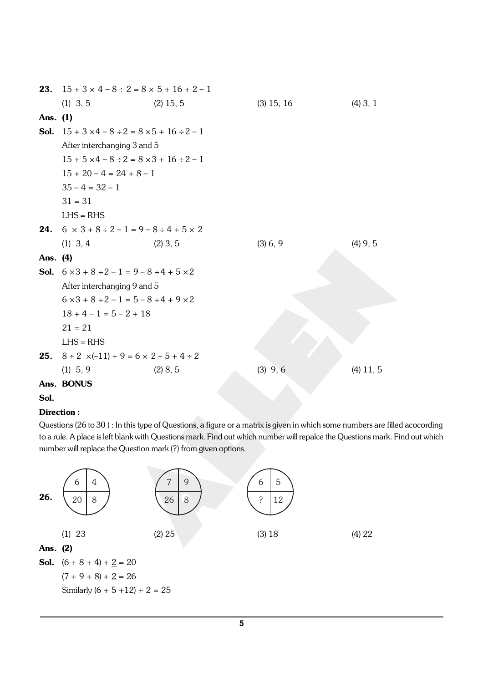|          | <b>23.</b> $15 + 3 \times 4 - 8 \div 2 = 8 \times 5 + 16 + 2 - 1$     |             |              |             |
|----------|-----------------------------------------------------------------------|-------------|--------------|-------------|
|          | $(1)$ 3, 5                                                            | $(2)$ 15, 5 | $(3)$ 15, 16 | $(4)$ 3, 1  |
| Ans. (1) |                                                                       |             |              |             |
|          | <b>Sol.</b> $15 + 3 \times 4 - 8 \div 2 = 8 \times 5 + 16 \div 2 - 1$ |             |              |             |
|          | After interchanging 3 and 5                                           |             |              |             |
|          | $15 + 5 \times 4 - 8 \div 2 = 8 \times 3 + 16 \div 2 - 1$             |             |              |             |
|          | $15 + 20 - 4 = 24 + 8 - 1$                                            |             |              |             |
|          | $35 - 4 = 32 - 1$                                                     |             |              |             |
|          | $31 = 31$                                                             |             |              |             |
|          | $LHS = RHS$                                                           |             |              |             |
|          | <b>24.</b> $6 \times 3 + 8 \div 2 - 1 = 9 - 8 \div 4 + 5 \times 2$    |             |              |             |
|          | $(1)$ 3, 4                                                            | $(2)$ 3, 5  | (3) 6, 9     | $(4)$ 9, 5  |
| Ans. (4) |                                                                       |             |              |             |
|          | <b>Sol.</b> $6 \times 3 + 8 \div 2 - 1 = 9 - 8 \div 4 + 5 \times 2$   |             |              |             |
|          | After interchanging 9 and 5                                           |             |              |             |
|          | $6 \times 3 + 8 \div 2 - 1 = 5 - 8 \div 4 + 9 \times 2$               |             |              |             |
|          | $18 + 4 - 1 = 5 - 2 + 18$                                             |             |              |             |
|          | $21 = 21$                                                             |             |              |             |
|          | $LHS = RHS$                                                           |             |              |             |
| 25.      | $8 \div 2 \times (-11) + 9 = 6 \times 2 - 5 + 4 \div 2$               |             |              |             |
|          | $(1)$ 5, 9                                                            | (2) 8, 5    | $(3)$ 9, 6   | $(4)$ 11, 5 |
|          | Ans. BONUS                                                            |             |              |             |

#### Sol.

#### Direction :

Questions (26 to 30 ) : In this type of Questions, a figure or a matrix is given in which some numbers are filled acocording to a rule. A place is left blank with Questions mark. Find out which number will repalce the Questions mark. Find out which number will replace the Question mark (?) from given options.

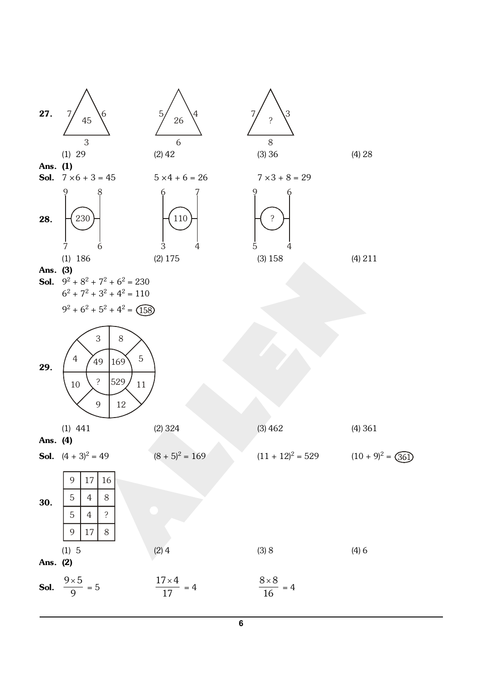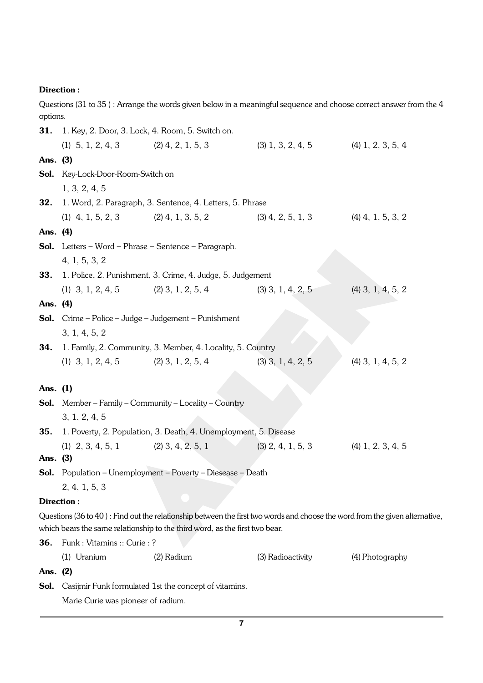Questions (31 to 35 ) : Arrange the words given below in a meaningful sequence and choose correct answer from the 4 options.

|          | <b>31.</b> 1. Key, 2. Door, 3. Lock, 4. Room, 5. Switch on. |                                                                             |                                                                                 |                                                                                                                             |  |
|----------|-------------------------------------------------------------|-----------------------------------------------------------------------------|---------------------------------------------------------------------------------|-----------------------------------------------------------------------------------------------------------------------------|--|
|          | (1) $5, 1, 2, 4, 3$ (2) $4, 2, 1, 5, 3$                     |                                                                             | $(3)$ 1, 3, 2, 4, 5 $(4)$ 1, 2, 3, 5, 4                                         |                                                                                                                             |  |
| Ans. (3) |                                                             |                                                                             |                                                                                 |                                                                                                                             |  |
|          | Sol. Key-Lock-Door-Room-Switch on                           |                                                                             |                                                                                 |                                                                                                                             |  |
|          | 1, 3, 2, 4, 5                                               |                                                                             |                                                                                 |                                                                                                                             |  |
| 32.      |                                                             | 1. Word, 2. Paragraph, 3. Sentence, 4. Letters, 5. Phrase                   |                                                                                 |                                                                                                                             |  |
|          |                                                             |                                                                             | (1) $4, 1, 5, 2, 3$ (2) $4, 1, 3, 5, 2$ (3) $4, 2, 5, 1, 3$ (4) $4, 1, 5, 3, 2$ |                                                                                                                             |  |
| Ans. (4) |                                                             |                                                                             |                                                                                 |                                                                                                                             |  |
|          |                                                             | <b>Sol.</b> Letters – Word – Phrase – Sentence – Paragraph.                 |                                                                                 |                                                                                                                             |  |
|          | 4, 1, 5, 3, 2                                               |                                                                             |                                                                                 |                                                                                                                             |  |
| 33.      |                                                             | 1. Police, 2. Punishment, 3. Crime, 4. Judge, 5. Judgement                  |                                                                                 |                                                                                                                             |  |
|          | (1) $3, 1, 2, 4, 5$ (2) $3, 1, 2, 5, 4$                     |                                                                             | $(3)$ 3, 1, 4, 2, 5                                                             | $(4)$ 3, 1, 4, 5, 2                                                                                                         |  |
| Ans. (4) |                                                             |                                                                             |                                                                                 |                                                                                                                             |  |
|          |                                                             | <b>Sol.</b> Crime – Police – Judge – Judgement – Punishment                 |                                                                                 |                                                                                                                             |  |
|          | 3, 1, 4, 5, 2                                               |                                                                             |                                                                                 |                                                                                                                             |  |
| 34.      |                                                             | 1. Family, 2. Community, 3. Member, 4. Locality, 5. Country                 |                                                                                 |                                                                                                                             |  |
|          | (1) $3, 1, 2, 4, 5$ (2) $3, 1, 2, 5, 4$                     |                                                                             | $(3)$ 3, 1, 4, 2, 5                                                             | $(4)$ 3, 1, 4, 5, 2                                                                                                         |  |
| Ans. (1) |                                                             |                                                                             |                                                                                 |                                                                                                                             |  |
|          |                                                             | <b>Sol.</b> Member – Family – Community – Locality – Country                |                                                                                 |                                                                                                                             |  |
|          | 3, 1, 2, 4, 5                                               |                                                                             |                                                                                 |                                                                                                                             |  |
| 35.      |                                                             | 1. Poverty, 2. Population, 3. Death, 4. Unemployment, 5. Disease            |                                                                                 |                                                                                                                             |  |
|          | (1) $2, 3, 4, 5, 1$ (2) $3, 4, 2, 5, 1$                     |                                                                             |                                                                                 | $(3)$ 2, 4, 1, 5, 3 $(4)$ 1, 2, 3, 4, 5                                                                                     |  |
| Ans. (3) |                                                             |                                                                             |                                                                                 |                                                                                                                             |  |
|          |                                                             | <b>Sol.</b> Population - Unemployment - Poverty - Diesease - Death          |                                                                                 |                                                                                                                             |  |
|          | 2, 4, 1, 5, 3                                               |                                                                             |                                                                                 |                                                                                                                             |  |
|          | Direction:                                                  |                                                                             |                                                                                 |                                                                                                                             |  |
|          |                                                             | which bears the same relationship to the third word, as the first two bear. |                                                                                 | Questions (36 to 40): Find out the relationship between the first two words and choose the word from the given alternative, |  |
| 36.      | Funk: Vitamins: Curie: ?                                    |                                                                             |                                                                                 |                                                                                                                             |  |
|          | $(1)$ Uranium                                               | (2) Radium                                                                  | (3) Radioactivity                                                               | (4) Photography                                                                                                             |  |
| Ans. (2) |                                                             |                                                                             |                                                                                 |                                                                                                                             |  |
| Sol.     |                                                             | Casijmir Funk formulated 1st the concept of vitamins.                       |                                                                                 |                                                                                                                             |  |
|          | Marie Curie was pioneer of radium.                          |                                                                             |                                                                                 |                                                                                                                             |  |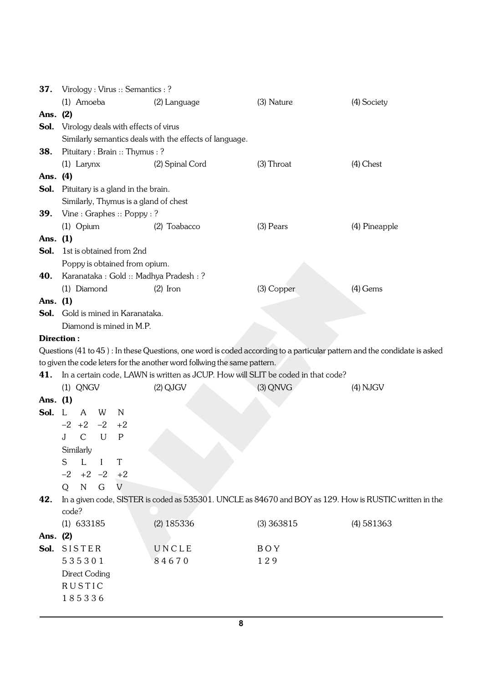| 37.        | Virology: Virus: Semantics: ?        |      |                                                                          |                                                                                  |                                                                                                                          |
|------------|--------------------------------------|------|--------------------------------------------------------------------------|----------------------------------------------------------------------------------|--------------------------------------------------------------------------------------------------------------------------|
|            | (1) Amoeba                           |      | (2) Language                                                             | (3) Nature                                                                       | (4) Society                                                                                                              |
| Ans. (2)   |                                      |      |                                                                          |                                                                                  |                                                                                                                          |
| Sol.       | Virology deals with effects of virus |      |                                                                          |                                                                                  |                                                                                                                          |
|            |                                      |      | Similarly semantics deals with the effects of language.                  |                                                                                  |                                                                                                                          |
| 38.        | Pituitary: Brain: Thymus: ?          |      |                                                                          |                                                                                  |                                                                                                                          |
|            | $(1)$ Larynx                         |      | (2) Spinal Cord                                                          | $(3)$ Throat                                                                     | $(4)$ Chest                                                                                                              |
| Ans. (4)   |                                      |      |                                                                          |                                                                                  |                                                                                                                          |
| Sol.       | Pituitary is a gland in the brain.   |      |                                                                          |                                                                                  |                                                                                                                          |
|            |                                      |      | Similarly, Thymus is a gland of chest                                    |                                                                                  |                                                                                                                          |
| <b>39.</b> | Vine: Graphes: Poppy:?               |      |                                                                          |                                                                                  |                                                                                                                          |
|            | $(1)$ Opium                          |      | $(2)$ Toabacco                                                           | (3) Pears                                                                        | (4) Pineapple                                                                                                            |
| Ans. (1)   |                                      |      |                                                                          |                                                                                  |                                                                                                                          |
| Sol.       | 1st is obtained from 2nd             |      |                                                                          |                                                                                  |                                                                                                                          |
|            | Poppy is obtained from opium.        |      |                                                                          |                                                                                  |                                                                                                                          |
| 40.        |                                      |      | Karanataka : Gold :: Madhya Pradesh : ?                                  |                                                                                  |                                                                                                                          |
|            | (1) Diamond                          |      |                                                                          | (3) Copper                                                                       | $(4)$ Gems                                                                                                               |
|            |                                      |      | $(2)$ Iron                                                               |                                                                                  |                                                                                                                          |
| Ans. (1)   | Sol. Gold is mined in Karanataka.    |      |                                                                          |                                                                                  |                                                                                                                          |
|            |                                      |      |                                                                          |                                                                                  |                                                                                                                          |
|            | Diamond is mined in M.P.             |      |                                                                          |                                                                                  |                                                                                                                          |
|            | <b>Direction:</b>                    |      |                                                                          |                                                                                  |                                                                                                                          |
|            |                                      |      |                                                                          |                                                                                  | Questions (41 to 45): In these Questions, one word is coded according to a particular pattern and the condidate is asked |
|            |                                      |      | to given the code leters for the another word follwing the same pattern. |                                                                                  |                                                                                                                          |
| 41.        |                                      |      |                                                                          | In a certain code, LAWN is written as JCUP. How will SLIT be coded in that code? |                                                                                                                          |
|            | $(1)$ QNGV                           |      | $(2)$ QJGV                                                               | $(3)$ QNVG                                                                       | $(4)$ NJGV                                                                                                               |
| Ans. (1)   |                                      |      |                                                                          |                                                                                  |                                                                                                                          |
| Sol.       | A<br>W<br>- L                        | N    |                                                                          |                                                                                  |                                                                                                                          |
|            | $-2$ +2<br>$-2$                      | $+2$ |                                                                          |                                                                                  |                                                                                                                          |
|            | $\mathcal{C}$<br>J<br>U              | P    |                                                                          |                                                                                  |                                                                                                                          |
|            | Similarly                            |      |                                                                          |                                                                                  |                                                                                                                          |
|            | L<br>S<br>$\mathbf{I}$               | T    |                                                                          |                                                                                  |                                                                                                                          |
|            | $-2 +2 -2 +2$                        |      |                                                                          |                                                                                  |                                                                                                                          |
|            | $\mathbf N$<br>G<br>Q                | V    |                                                                          |                                                                                  |                                                                                                                          |
| 42.        |                                      |      |                                                                          |                                                                                  | In a given code, SISTER is coded as 535301. UNCLE as 84670 and BOY as 129. How is RUSTIC written in the                  |
|            | code?                                |      |                                                                          |                                                                                  |                                                                                                                          |
|            | $(1)$ 633185                         |      | $(2)$ 185336                                                             | $(3)$ 363815                                                                     | $(4)$ 581363                                                                                                             |
| Ans. (2)   |                                      |      |                                                                          |                                                                                  |                                                                                                                          |
| Sol.       | <b>SISTER</b>                        |      | UNCLE                                                                    | BOY                                                                              |                                                                                                                          |
|            | 535301                               |      | 84670                                                                    | 129                                                                              |                                                                                                                          |
|            | Direct Coding                        |      |                                                                          |                                                                                  |                                                                                                                          |
|            | RUSTIC                               |      |                                                                          |                                                                                  |                                                                                                                          |
|            | 185336                               |      |                                                                          |                                                                                  |                                                                                                                          |
|            |                                      |      |                                                                          |                                                                                  |                                                                                                                          |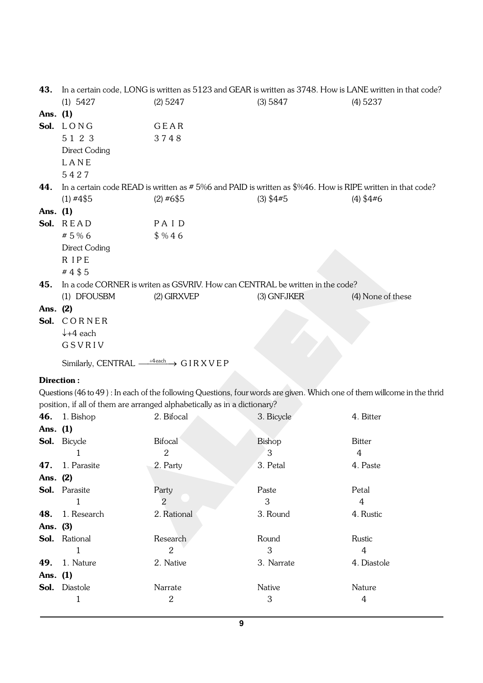| 43.        |                      | In a certain code, LONG is written as 5123 and GEAR is written as 3748. How is LANE written in that code? |             |                   |
|------------|----------------------|-----------------------------------------------------------------------------------------------------------|-------------|-------------------|
|            | $(1)$ 5427           | $(2)$ 5247                                                                                                | (3) 5847    | $(4)$ 5237        |
| Ans. $(1)$ |                      |                                                                                                           |             |                   |
|            | Sol. LONG            | GEAR                                                                                                      |             |                   |
|            | 5 1 2 3              | 3748                                                                                                      |             |                   |
|            | Direct Coding        |                                                                                                           |             |                   |
|            | LANE                 |                                                                                                           |             |                   |
|            | 5427                 |                                                                                                           |             |                   |
| 44.        |                      | In a certain code READ is written as #5%6 and PAID is written as \$%46. How is RIPE written in that code? |             |                   |
|            | $(1)$ #4\$5          | $(2)$ #6\$5                                                                                               | $(3)$ \$4#5 | $(4)$ \$4#6       |
| Ans. $(1)$ |                      |                                                                                                           |             |                   |
|            | Sol. READ            | PAID                                                                                                      |             |                   |
|            | # 5 % 6              | \$ %46                                                                                                    |             |                   |
|            | Direct Coding        |                                                                                                           |             |                   |
|            | <b>RIPE</b>          |                                                                                                           |             |                   |
|            | #4\$5                |                                                                                                           |             |                   |
| 45.        |                      | In a code CORNER is writen as GSVRIV. How can CENTRAL be written in the code?                             |             |                   |
|            | (1) DFOUSBM          | (2) GIRXVEP                                                                                               | (3) GNFJKER | (4) None of these |
| Ans. (2)   |                      |                                                                                                           |             |                   |
|            | Sol. CORNER          |                                                                                                           |             |                   |
|            | $\downarrow$ +4 each |                                                                                                           |             |                   |
|            | GSVRIV               |                                                                                                           |             |                   |
|            |                      |                                                                                                           |             |                   |

Similarly, CENTRAL  $\xrightarrow{+4$ each  $\rightarrow$  G I R X V E P

# Direction :

Questions (46 to 49 ) : In each of the following Questions, four words are given. Which one of them willcome in the thrid position, if all of them are arranged alphabetically as in a dictionary?

|          | <b>46.</b> 1. Bishop   | 2. Bifocal     | 3. Bicycle    | 4. Bitter   |
|----------|------------------------|----------------|---------------|-------------|
| Ans. (1) |                        |                |               |             |
|          | <b>Sol.</b> Bicycle    | <b>Bifocal</b> | Bishop        | Bitter      |
|          |                        | 2              | 3             | 4           |
|          | <b>47.</b> 1. Parasite | 2. Party       | 3. Petal      | 4. Paste    |
| Ans. (2) |                        |                |               |             |
|          | <b>Sol.</b> Parasite   | Party          | Paste         | Petal       |
|          | 1                      | $\overline{2}$ | 3             | 4           |
|          | <b>48.</b> 1. Research | 2. Rational    | 3. Round      | 4. Rustic   |
| Ans. (3) |                        |                |               |             |
|          | <b>Sol.</b> Rational   | Research       | Round         | Rustic      |
|          |                        | 2              | 3             | 4           |
|          | <b>49.</b> 1. Nature   | 2. Native      | 3. Narrate    | 4. Diastole |
| Ans. (1) |                        |                |               |             |
|          | <b>Sol.</b> Diastole   | Narrate        | <b>Native</b> | Nature      |
|          | 1                      | 2              | 3             | 4           |
|          |                        |                |               |             |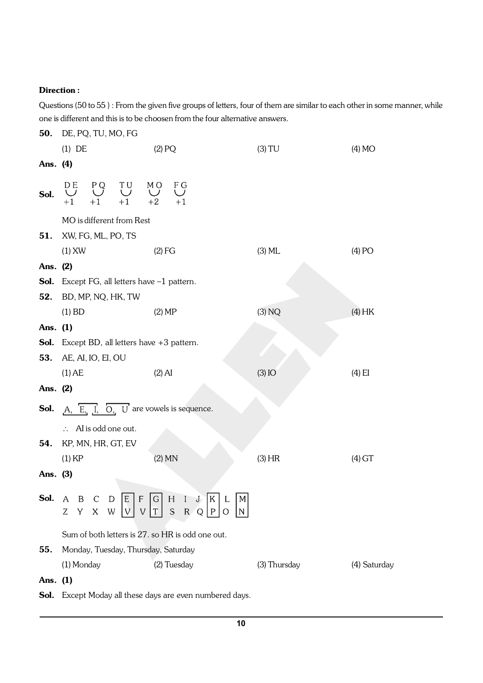Questions (50 to 55 ) : From the given five groups of letters, four of them are similar to each other in some manner, while one is different and this is to be choosen from the four alternative answers.

50. DE, PQ, TU, MO, FG (1) DE  $(2) PQ$  (3) TU (4) MO Ans. (4) **Sol.**  $\bigcup_{+1}^{\text{DE}} \bigcup_{+1}^{\text{PQ}} \bigcup_{+1}^{\text{TU}} \bigcup_{+1}^{\text{MO}} \bigcup_{+2}^{\text{MO}}$  $F \underset{+1}{\bigcup}$ MO is different from Rest 51. XW, FG, ML, PO, TS (1) XW (2) FG (3) ML (4) PO Ans. (2) Sol. Except FG, all letters have -1 pattern. 52. BD, MP, NQ, HK, TW (1) BD (2) MP (3) NQ (4) HK Ans. (1) Sol. Except BD, all letters have +3 pattern. 53. AE, AI, IO, EI, OU (1) AE (2) AI (3) IO (4) EI Ans. (2) **Sol.**  $A, \overline{E, I}, \overline{O, U}$  are vowels is sequence.  $\therefore$  AI is odd one out. 54. KP, MN, HR, GT, EV (1) KP (2) MN (3) HR (4) GT Ans. (3) **Sol.** A B C D E F G H I J K L M<br>Z Y X W V V T S R Q P O N Sum of both letters is 27. so HR is odd one out. 55. Monday, Tuesday, Thursday, Saturday (1) Monday (2) Tuesday (3) Thursday (4) Saturday Ans. (1)

Sol. Except Moday all these days are even numbered days.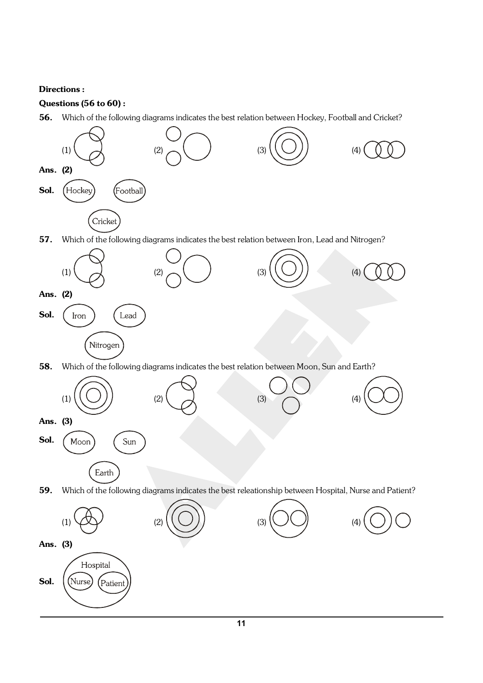# Questions (56 to 60) :

56. Which of the following diagrams indicates the best relation between Hockey, Football and Cricket?

![](_page_10_Figure_3.jpeg)

![](_page_10_Figure_4.jpeg)

![](_page_10_Figure_5.jpeg)

58. Which of the following diagrams indicates the best relation between Moon, Sun and Earth?

![](_page_10_Figure_7.jpeg)

59. Which of the following diagrams indicates the best releationship between Hospital, Nurse and Patient?

![](_page_10_Figure_9.jpeg)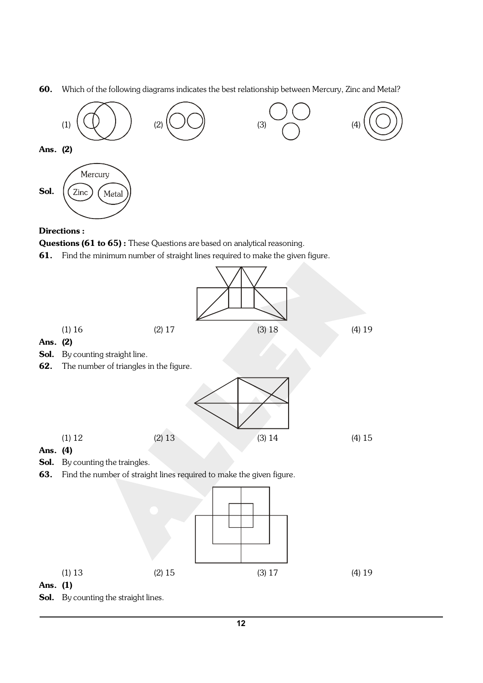60. Which of the following diagrams indicates the best relationship between Mercury, Zinc and Metal?

![](_page_11_Figure_1.jpeg)

#### Directions :

Questions (61 to 65): These Questions are based on analytical reasoning.

61. Find the minimum number of straight lines required to make the given figure.

![](_page_11_Figure_5.jpeg)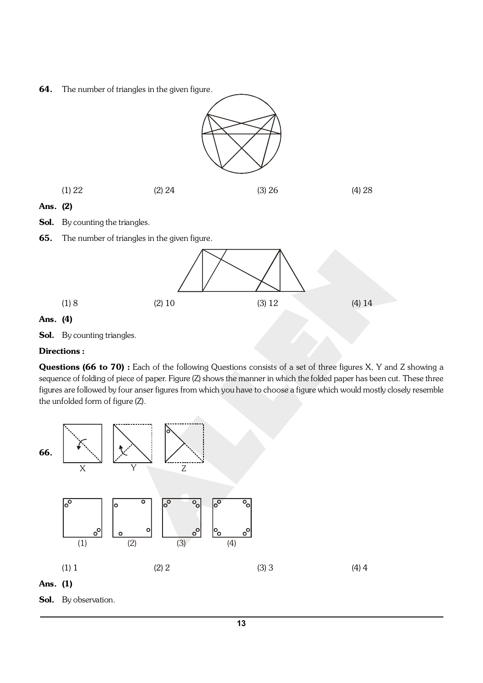64. The number of triangles in the given figure.

![](_page_12_Figure_1.jpeg)

(1) 8 (2) 10 (3) 12 (4) 14

# Ans. (4)

Sol. By counting triangles.

# Directions :

Questions (66 to 70) : Each of the following Questions consists of a set of three figures X, Y and Z showing a sequence of folding of piece of paper. Figure (Z) shows the manner in which the folded paper has been cut. These three figures are followed by four anser figures from which you have to choose a figure which would mostly closely resemble the unfolded form of figure (Z).

![](_page_12_Figure_6.jpeg)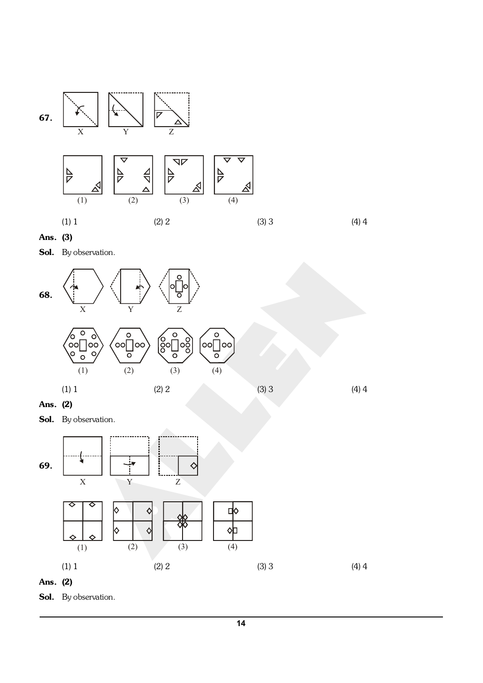![](_page_13_Figure_0.jpeg)

Ans. (3)

Sol. By observation.

![](_page_13_Figure_3.jpeg)

Ans. (2)

Sol. By observation.

![](_page_13_Figure_6.jpeg)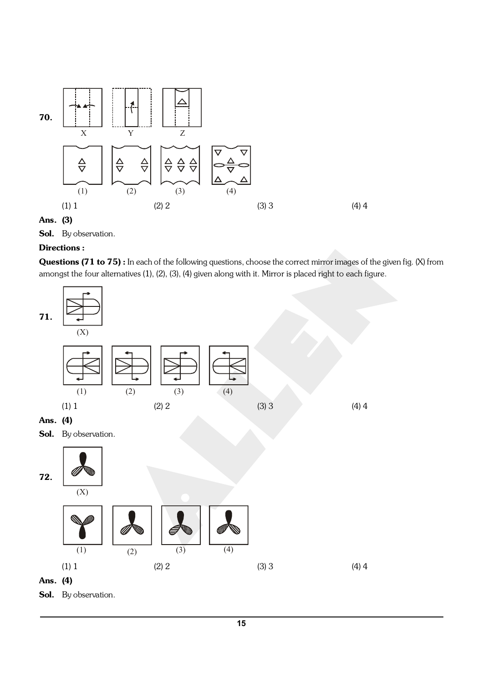![](_page_14_Figure_0.jpeg)

Ans. (3)

Sol. By observation.

## Directions :

Questions (71 to 75) : In each of the following questions, choose the correct mirror images of the given fig. (X) from amongst the four alternatives (1), (2), (3), (4) given along with it. Mirror is placed right to each figure.

![](_page_14_Figure_5.jpeg)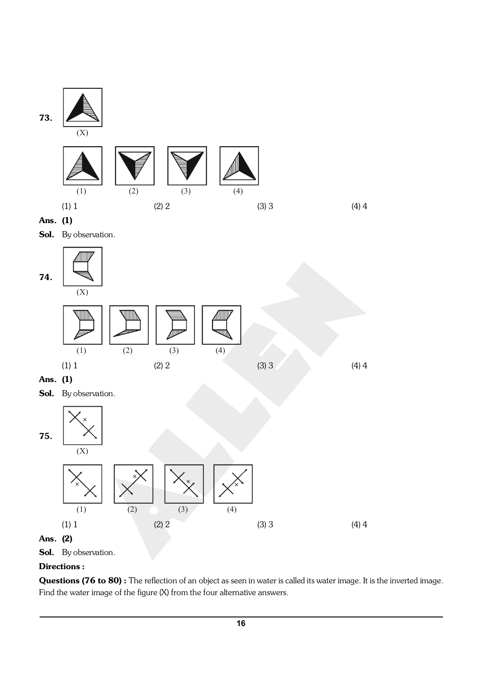![](_page_15_Figure_0.jpeg)

Questions (76 to 80) : The reflection of an object as seen in water is called its water image. It is the inverted image. Find the water image of the figure (X) from the four alternative answers.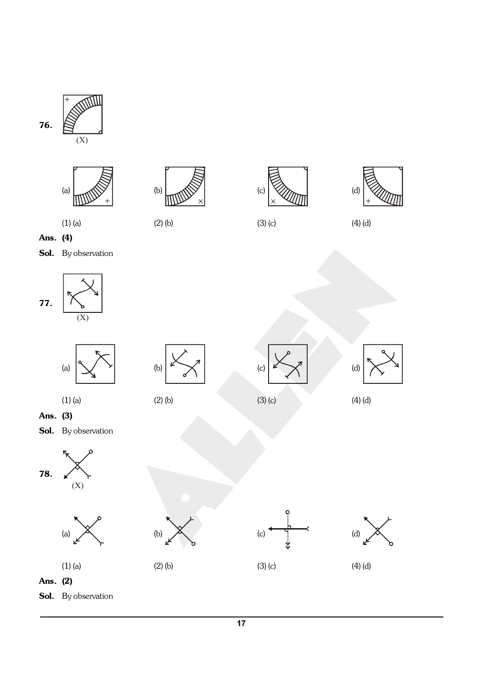![](_page_16_Figure_0.jpeg)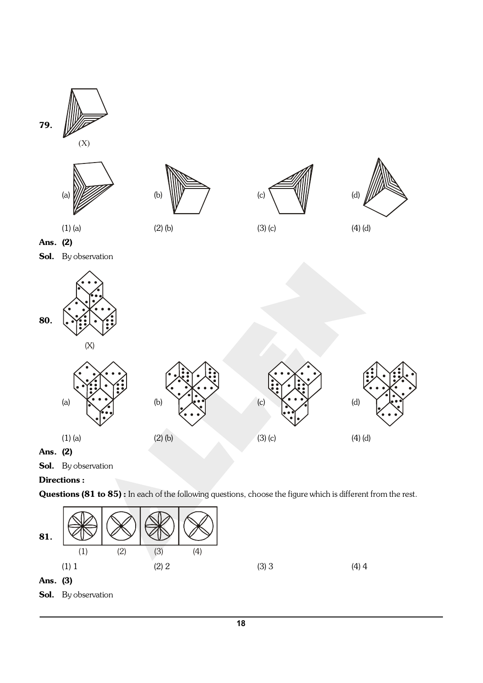![](_page_17_Figure_0.jpeg)

Sol. By observation

# Directions :

Questions (81 to 85) : In each of the following questions, choose the figure which is different from the rest.

![](_page_17_Figure_4.jpeg)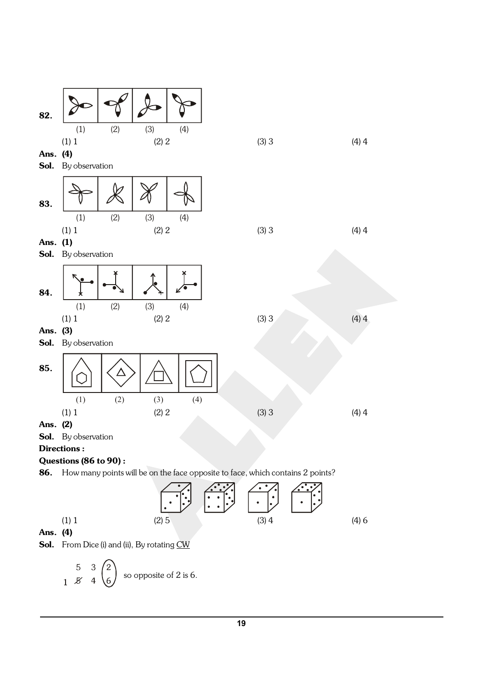![](_page_18_Figure_0.jpeg)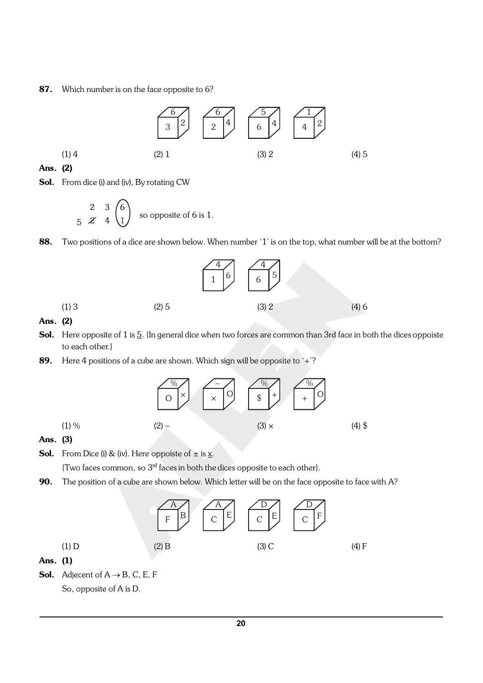#### 87. Which number is on the face opposite to 6?

![](_page_19_Figure_1.jpeg)

#### Ans. (2)

Sol. From dice (i) and (iv), By rotating CW

$$
\begin{array}{ccc}\n2 & 3 & 6 \\
5 & \mathcal{Z} & 4 & 1\n\end{array}
$$
 so opposite of 6 is 1.

88. Two positions of a dice are shown below. When number '1' is on the top, what number will be at the bottom?

![](_page_19_Figure_6.jpeg)

#### Ans. (2)

- Sol. Here opposite of 1 is 5. {In general dice when two forces are common than 3rd face in both the dices oppoiste to each other.}
- 89. Here 4 positions of a cube are shown. Which sign will be opposite to  $\pm$ ?

![](_page_19_Figure_10.jpeg)

#### Ans. (3)

- **Sol.** From Dice (i) & (iv). Here oppoiste of  $\pm$  is  $\underline{x}$ .
	- {Two faces common, so 3rd faces in both the dices opposite to each other}.
- 90. The position of a cube are shown below. Which letter will be on the face opposite to face with A?

![](_page_19_Figure_15.jpeg)

- Ans. (1)
- **Sol.** Adjecent of  $A \rightarrow B$ , C, E, F So, opposite of A is D.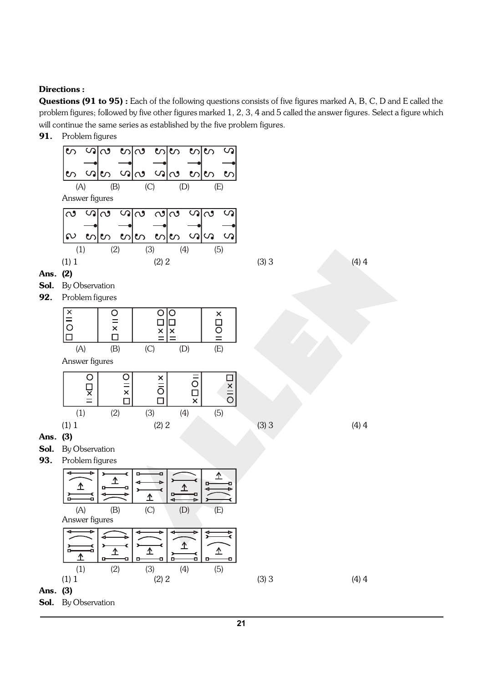Questions (91 to 95) : Each of the following questions consists of five figures marked A, B, C, D and E called the problem figures; followed by five other figures marked 1, 2, 3, 4 and 5 called the answer figures. Select a figure which will continue the same series as established by the five problem figures.

![](_page_20_Figure_3.jpeg)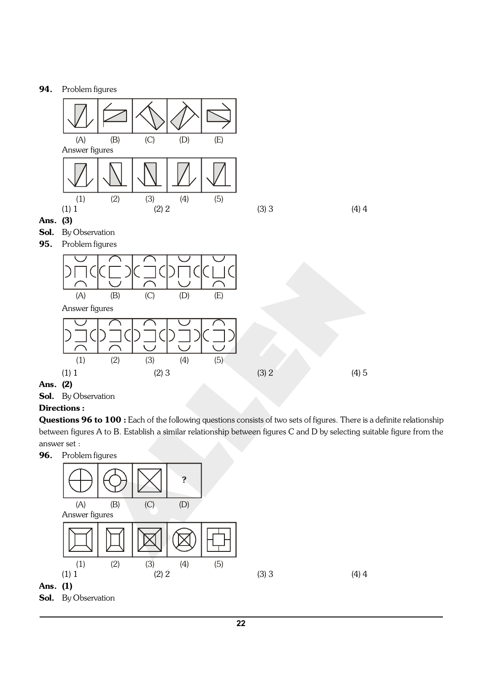#### 94. Problem figures

![](_page_21_Figure_1.jpeg)

Sol. By Observation

# Directions :

Questions 96 to 100 : Each of the following questions consists of two sets of figures. There is a definite relationship between figures A to B. Establish a similar relationship between figures C and D by selecting suitable figure from the answer set :

![](_page_21_Figure_6.jpeg)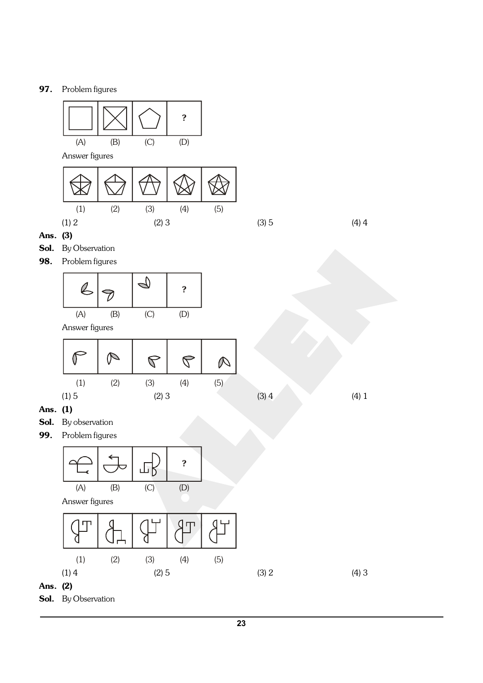![](_page_22_Figure_1.jpeg)